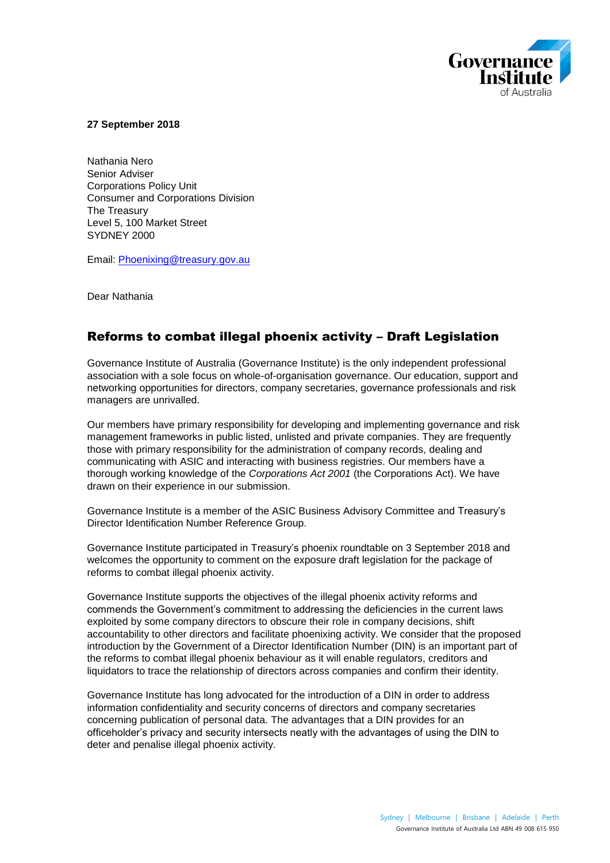

**27 September 2018**

Nathania Nero Senior Adviser Corporations Policy Unit Consumer and Corporations Division The Treasury Level 5, 100 Market Street SYDNEY 2000

Email: Phoenixing@treasury.gov.au

Dear Nathania

# Reforms to combat illegal phoenix activity – Draft Legislation

Governance Institute of Australia (Governance Institute) is the only independent professional association with a sole focus on whole-of-organisation governance. Our education, support and networking opportunities for directors, company secretaries, governance professionals and risk managers are unrivalled.

Our members have primary responsibility for developing and implementing governance and risk management frameworks in public listed, unlisted and private companies. They are frequently those with primary responsibility for the administration of company records, dealing and communicating with ASIC and interacting with business registries. Our members have a thorough working knowledge of the *Corporations Act 2001* (the Corporations Act). We have drawn on their experience in our submission.

Governance Institute is a member of the ASIC Business Advisory Committee and Treasury's Director Identification Number Reference Group.

Governance Institute participated in Treasury's phoenix roundtable on 3 September 2018 and welcomes the opportunity to comment on the exposure draft legislation for the package of reforms to combat illegal phoenix activity.

Governance Institute supports the objectives of the illegal phoenix activity reforms and commends the Government's commitment to addressing the deficiencies in the current laws exploited by some company directors to obscure their role in company decisions, shift accountability to other directors and facilitate phoenixing activity. We consider that the proposed introduction by the Government of a Director Identification Number (DIN) is an important part of the reforms to combat illegal phoenix behaviour as it will enable regulators, creditors and liquidators to trace the relationship of directors across companies and confirm their identity.

Governance Institute has long advocated for the introduction of a DIN in order to address information confidentiality and security concerns of directors and company secretaries concerning publication of personal data. The advantages that a DIN provides for an officeholder's privacy and security intersects neatly with the advantages of using the DIN to deter and penalise illegal phoenix activity.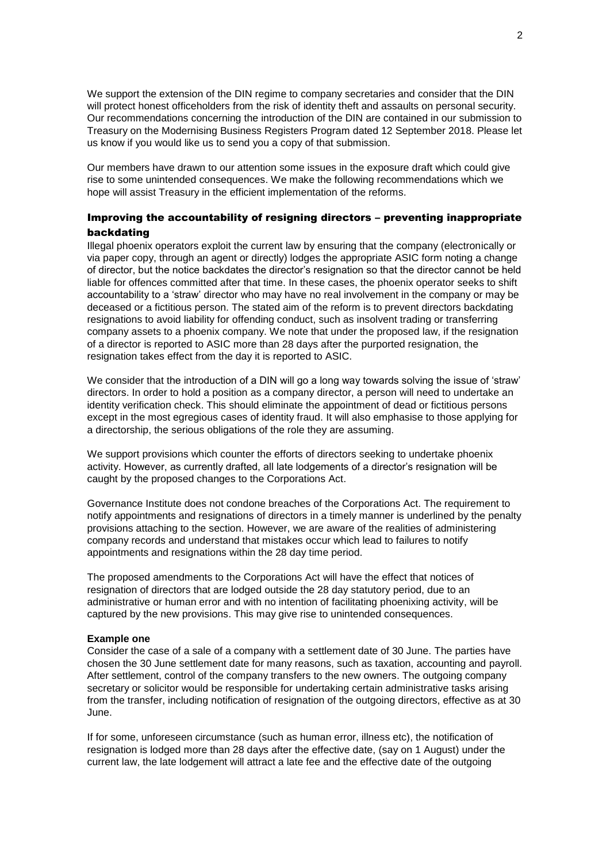We support the extension of the DIN regime to company secretaries and consider that the DIN will protect honest officeholders from the risk of identity theft and assaults on personal security. Our recommendations concerning the introduction of the DIN are contained in our submission to Treasury on the Modernising Business Registers Program dated 12 September 2018. Please let us know if you would like us to send you a copy of that submission.

Our members have drawn to our attention some issues in the exposure draft which could give rise to some unintended consequences. We make the following recommendations which we hope will assist Treasury in the efficient implementation of the reforms.

## Improving the accountability of resigning directors – preventing inappropriate backdating

Illegal phoenix operators exploit the current law by ensuring that the company (electronically or via paper copy, through an agent or directly) lodges the appropriate ASIC form noting a change of director, but the notice backdates the director's resignation so that the director cannot be held liable for offences committed after that time. In these cases, the phoenix operator seeks to shift accountability to a 'straw' director who may have no real involvement in the company or may be deceased or a fictitious person. The stated aim of the reform is to prevent directors backdating resignations to avoid liability for offending conduct, such as insolvent trading or transferring company assets to a phoenix company. We note that under the proposed law, if the resignation of a director is reported to ASIC more than 28 days after the purported resignation, the resignation takes effect from the day it is reported to ASIC.

We consider that the introduction of a DIN will go a long way towards solving the issue of 'straw' directors. In order to hold a position as a company director, a person will need to undertake an identity verification check. This should eliminate the appointment of dead or fictitious persons except in the most egregious cases of identity fraud. It will also emphasise to those applying for a directorship, the serious obligations of the role they are assuming.

We support provisions which counter the efforts of directors seeking to undertake phoenix activity. However, as currently drafted, all late lodgements of a director's resignation will be caught by the proposed changes to the Corporations Act.

Governance Institute does not condone breaches of the Corporations Act. The requirement to notify appointments and resignations of directors in a timely manner is underlined by the penalty provisions attaching to the section. However, we are aware of the realities of administering company records and understand that mistakes occur which lead to failures to notify appointments and resignations within the 28 day time period.

The proposed amendments to the Corporations Act will have the effect that notices of resignation of directors that are lodged outside the 28 day statutory period, due to an administrative or human error and with no intention of facilitating phoenixing activity, will be captured by the new provisions. This may give rise to unintended consequences.

#### **Example one**

Consider the case of a sale of a company with a settlement date of 30 June. The parties have chosen the 30 June settlement date for many reasons, such as taxation, accounting and payroll. After settlement, control of the company transfers to the new owners. The outgoing company secretary or solicitor would be responsible for undertaking certain administrative tasks arising from the transfer, including notification of resignation of the outgoing directors, effective as at 30 June.

If for some, unforeseen circumstance (such as human error, illness etc), the notification of resignation is lodged more than 28 days after the effective date, (say on 1 August) under the current law, the late lodgement will attract a late fee and the effective date of the outgoing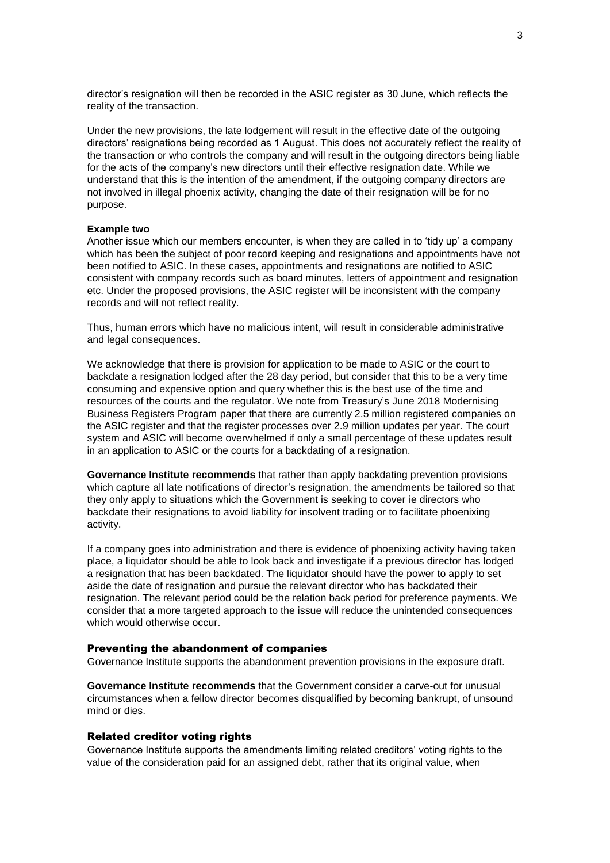director's resignation will then be recorded in the ASIC register as 30 June, which reflects the reality of the transaction.

Under the new provisions, the late lodgement will result in the effective date of the outgoing directors' resignations being recorded as 1 August. This does not accurately reflect the reality of the transaction or who controls the company and will result in the outgoing directors being liable for the acts of the company's new directors until their effective resignation date. While we understand that this is the intention of the amendment, if the outgoing company directors are not involved in illegal phoenix activity, changing the date of their resignation will be for no purpose.

#### **Example two**

Another issue which our members encounter, is when they are called in to 'tidy up' a company which has been the subject of poor record keeping and resignations and appointments have not been notified to ASIC. In these cases, appointments and resignations are notified to ASIC consistent with company records such as board minutes, letters of appointment and resignation etc. Under the proposed provisions, the ASIC register will be inconsistent with the company records and will not reflect reality.

Thus, human errors which have no malicious intent, will result in considerable administrative and legal consequences.

We acknowledge that there is provision for application to be made to ASIC or the court to backdate a resignation lodged after the 28 day period, but consider that this to be a very time consuming and expensive option and query whether this is the best use of the time and resources of the courts and the regulator. We note from Treasury's June 2018 Modernising Business Registers Program paper that there are currently 2.5 million registered companies on the ASIC register and that the register processes over 2.9 million updates per year. The court system and ASIC will become overwhelmed if only a small percentage of these updates result in an application to ASIC or the courts for a backdating of a resignation.

**Governance Institute recommends** that rather than apply backdating prevention provisions which capture all late notifications of director's resignation, the amendments be tailored so that they only apply to situations which the Government is seeking to cover ie directors who backdate their resignations to avoid liability for insolvent trading or to facilitate phoenixing activity.

If a company goes into administration and there is evidence of phoenixing activity having taken place, a liquidator should be able to look back and investigate if a previous director has lodged a resignation that has been backdated. The liquidator should have the power to apply to set aside the date of resignation and pursue the relevant director who has backdated their resignation. The relevant period could be the relation back period for preference payments. We consider that a more targeted approach to the issue will reduce the unintended consequences which would otherwise occur.

#### Preventing the abandonment of companies

Governance Institute supports the abandonment prevention provisions in the exposure draft.

**Governance Institute recommends** that the Government consider a carve-out for unusual circumstances when a fellow director becomes disqualified by becoming bankrupt, of unsound mind or dies.

### Related creditor voting rights

Governance Institute supports the amendments limiting related creditors' voting rights to the value of the consideration paid for an assigned debt, rather that its original value, when